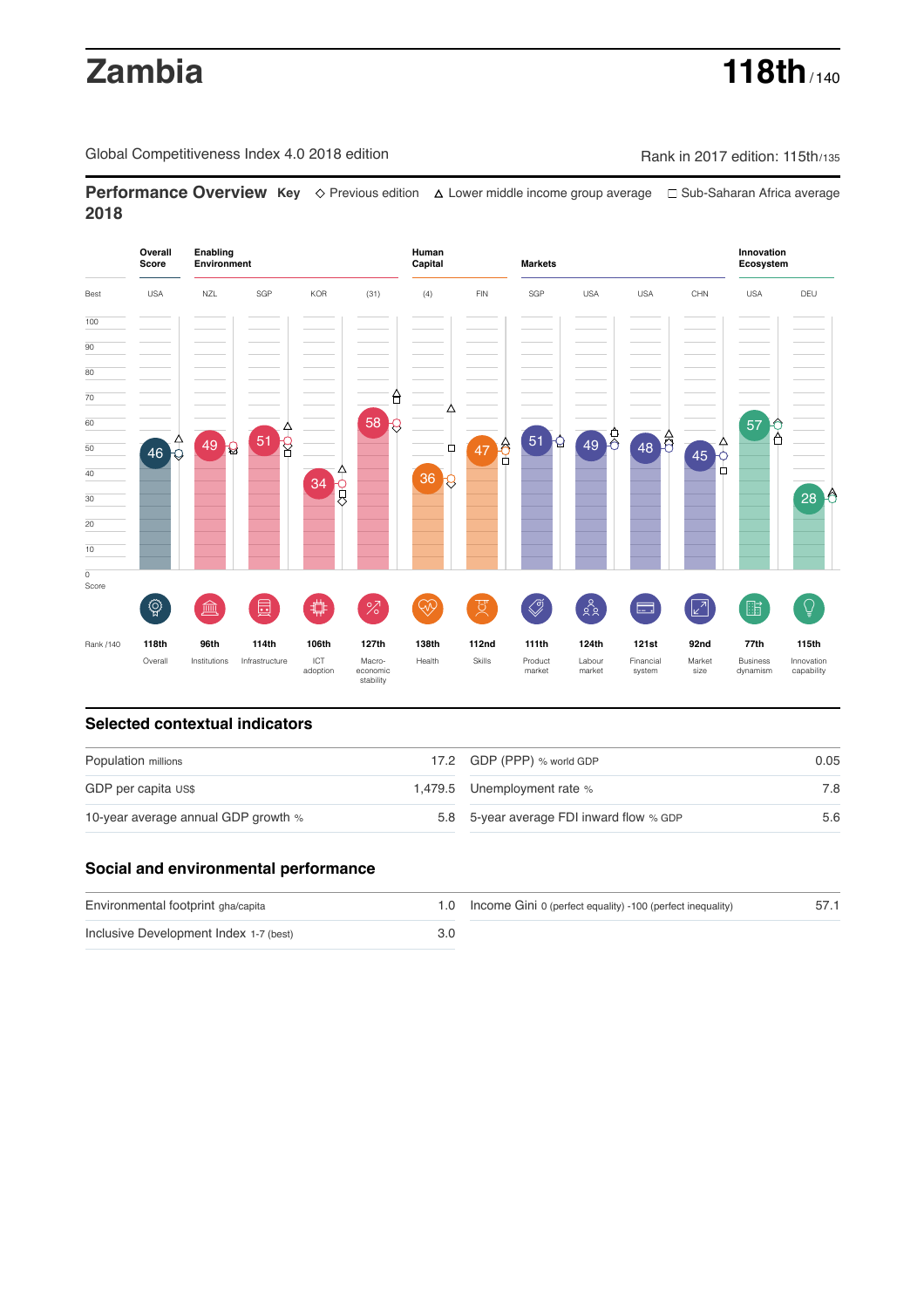# **Zambia 118th** / 140

Global Competitiveness Index 4.0 2018 edition Rank in 2017 edition: 115th/135

**Performance Overview Key** Previous edition Lower middle income group average Sub-Saharan Africa average **2018**



### **Selected contextual indicators**

| Population millions                 | 17.2 GDP (PPP) % world GDP               | 0.05 |  |
|-------------------------------------|------------------------------------------|------|--|
| GDP per capita US\$                 | 1,479.5 Unemployment rate %              | 7.8  |  |
| 10-year average annual GDP growth % | 5.8 5-year average FDI inward flow % GDP | 5.6  |  |

## **Social and environmental performance**

| Environmental footprint gha/capita     | 1.0 Income Gini 0 (perfect equality) -100 (perfect inequality) |  |
|----------------------------------------|----------------------------------------------------------------|--|
| Inclusive Development Index 1-7 (best) |                                                                |  |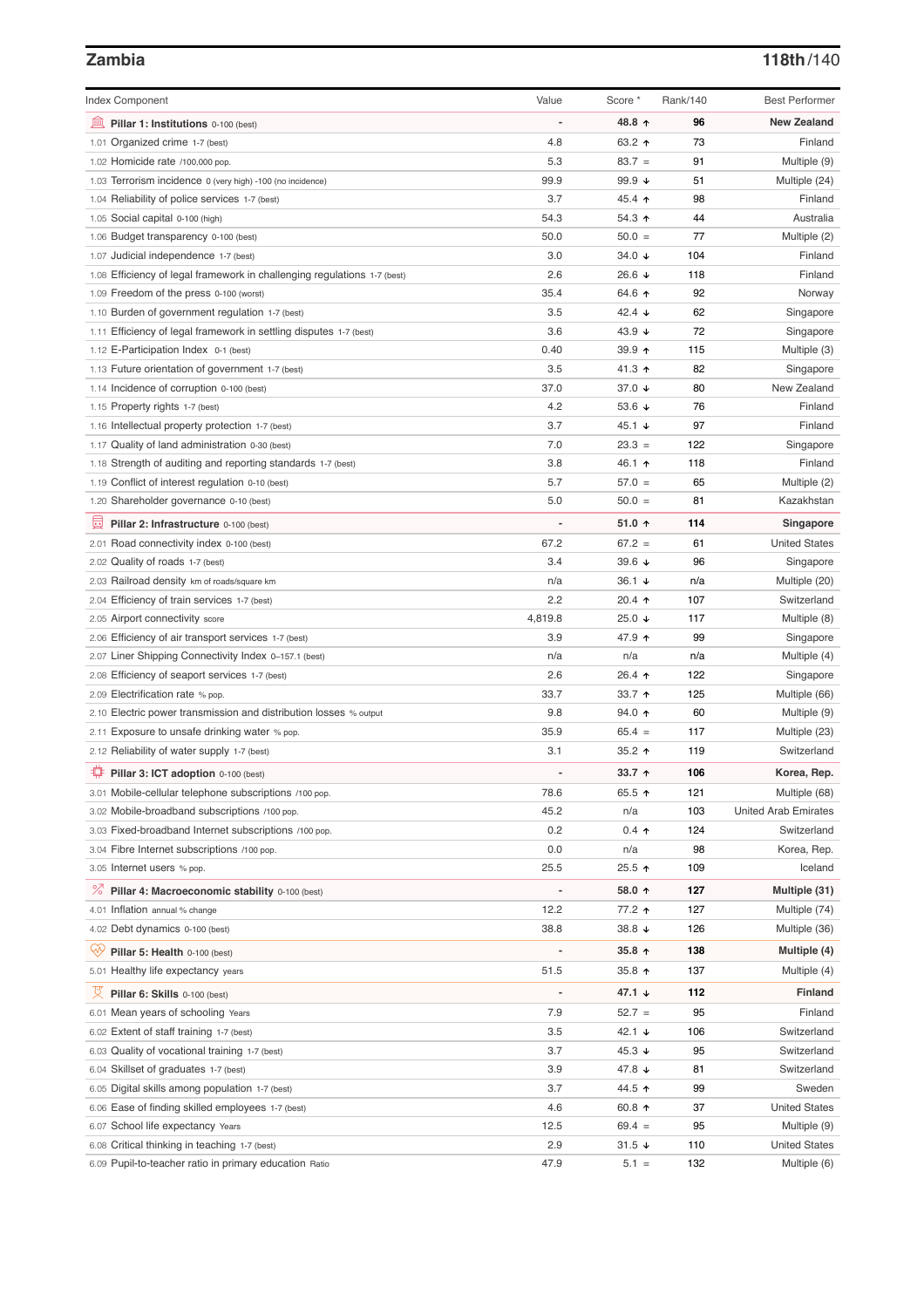## **Zambia 118th**/140

| <b>Index Component</b>                                                   | Value          | Score *           | Rank/140 | <b>Best Performer</b>       |
|--------------------------------------------------------------------------|----------------|-------------------|----------|-----------------------------|
| 皿<br>Pillar 1: Institutions 0-100 (best)                                 |                | 48.8 ↑            | 96       | <b>New Zealand</b>          |
| 1.01 Organized crime 1-7 (best)                                          | 4.8            | 63.2 $\uparrow$   | 73       | Finland                     |
| 1.02 Homicide rate /100,000 pop.                                         | 5.3            | $83.7 =$          | 91       | Multiple (9)                |
| 1.03 Terrorism incidence 0 (very high) -100 (no incidence)               | 99.9           | 99.9 $\sqrt{ }$   | 51       | Multiple (24)               |
| 1.04 Reliability of police services 1-7 (best)                           | 3.7            | 45.4 $\uparrow$   | 98       | Finland                     |
| 1.05 Social capital 0-100 (high)                                         | 54.3           | $54.3$ ↑          | 44       | Australia                   |
| 1.06 Budget transparency 0-100 (best)                                    | 50.0           | $50.0 =$          | 77       | Multiple (2)                |
| 1.07 Judicial independence 1-7 (best)                                    | 3.0            | 34.0 $\sqrt{ }$   | 104      | Finland                     |
| 1.08 Efficiency of legal framework in challenging regulations 1-7 (best) | 2.6            | 26.6 $\sqrt{ }$   | 118      | Finland                     |
| 1.09 Freedom of the press 0-100 (worst)                                  | 35.4           | 64.6 ↑            | 92       | Norway                      |
| 1.10 Burden of government regulation 1-7 (best)                          | 3.5            | 42.4 $\sqrt{ }$   | 62       | Singapore                   |
| 1.11 Efficiency of legal framework in settling disputes 1-7 (best)       | 3.6            | 43.9 $\sqrt{ }$   | 72       | Singapore                   |
| 1.12 E-Participation Index 0-1 (best)                                    | 0.40           | 39.9 ↑            | 115      | Multiple (3)                |
| 1.13 Future orientation of government 1-7 (best)                         | 3.5            | 41.3 $\uparrow$   | 82       | Singapore                   |
| 1.14 Incidence of corruption 0-100 (best)                                | 37.0           | 37.0 $\sqrt{ }$   | 80       | New Zealand                 |
| 1.15 Property rights 1-7 (best)                                          | 4.2            | 53.6 $\sqrt{ }$   | 76       | Finland                     |
| 1.16 Intellectual property protection 1-7 (best)                         | 3.7            | 45.1 $\sqrt{ }$   | 97       | Finland                     |
| 1.17 Quality of land administration 0-30 (best)                          | 7.0            | $23.3 =$          | 122      | Singapore                   |
| 1.18 Strength of auditing and reporting standards 1-7 (best)             | 3.8            | 46.1 ↑            | 118      | Finland                     |
| 1.19 Conflict of interest regulation 0-10 (best)                         | 5.7            | $57.0 =$          | 65       | Multiple (2)                |
| 1.20 Shareholder governance 0-10 (best)                                  | 5.0            | $50.0 =$          | 81       | Kazakhstan                  |
|                                                                          |                |                   |          |                             |
| 囩<br>Pillar 2: Infrastructure 0-100 (best)                               |                | 51.0 $\uparrow$   | 114      | Singapore                   |
| 2.01 Road connectivity index 0-100 (best)                                | 67.2           | $67.2 =$          | 61       | <b>United States</b>        |
| 2.02 Quality of roads 1-7 (best)                                         | 3.4            | 39.6 $\sqrt{ }$   | 96       | Singapore                   |
| 2.03 Railroad density km of roads/square km                              | n/a            | 36.1 $\sqrt{ }$   | n/a      | Multiple (20)               |
| 2.04 Efficiency of train services 1-7 (best)                             | 2.2            | 20.4 $\uparrow$   | 107      | Switzerland                 |
| 2.05 Airport connectivity score                                          | 4,819.8        | 25.0 $\sqrt{ }$   | 117      | Multiple (8)                |
| 2.06 Efficiency of air transport services 1-7 (best)                     | 3.9            | 47.9 ↑            | 99       | Singapore                   |
| 2.07 Liner Shipping Connectivity Index 0-157.1 (best)                    | n/a            | n/a               | n/a      | Multiple (4)                |
| 2.08 Efficiency of seaport services 1-7 (best)                           | 2.6            | 26.4 $\uparrow$   | 122      | Singapore                   |
| 2.09 Electrification rate % pop.                                         | 33.7           | 33.7 $\uparrow$   | 125      | Multiple (66)               |
| 2.10 Electric power transmission and distribution losses % output        | 9.8            | 94.0 ↑            | 60       | Multiple (9)                |
| 2.11 Exposure to unsafe drinking water % pop.                            | 35.9           | $65.4 =$          | 117      | Multiple (23)               |
| 2.12 Reliability of water supply 1-7 (best)                              | 3.1            | 35.2 $\uparrow$   | 119      | Switzerland                 |
| ₽<br>Pillar 3: ICT adoption 0-100 (best)                                 |                | 33.7 $\uparrow$   | 106      | Korea, Rep.                 |
| 3.01 Mobile-cellular telephone subscriptions /100 pop.                   | 78.6           | 65.5 $\uparrow$   | 121      | Multiple (68)               |
| 3.02 Mobile-broadband subscriptions /100 pop.                            | 45.2           | n/a               | 103      | <b>United Arab Emirates</b> |
| 3.03 Fixed-broadband Internet subscriptions /100 pop.                    | 0.2            | $0.4 \; \uparrow$ | 124      | Switzerland                 |
| 3.04 Fibre Internet subscriptions /100 pop.                              | 0.0            | n/a               | 98       | Korea, Rep.                 |
| 3.05 Internet users % pop.                                               | 25.5           | 25.5 ↑            | 109      | Iceland                     |
| <sup>%</sup> Pillar 4: Macroeconomic stability 0-100 (best)              | $\overline{a}$ | 58.0 ↑            | 127      | Multiple (31)               |
| 4.01 Inflation annual % change                                           | 12.2           | 77.2 ↑            | 127      | Multiple (74)               |
| 4.02 Debt dynamics 0-100 (best)                                          | 38.8           | 38.8 ↓            | 126      | Multiple (36)               |
|                                                                          |                |                   |          |                             |
| ųÿ<br>Pillar 5: Health 0-100 (best)                                      |                | 35.8 $\uparrow$   | 138      | Multiple (4)                |
| 5.01 Healthy life expectancy years                                       | 51.5           | 35.8 $\uparrow$   | 137      | Multiple (4)                |
| 성<br>Pillar 6: Skills 0-100 (best)                                       | $\overline{a}$ | 47.1 $\sqrt{ }$   | 112      | <b>Finland</b>              |
| 6.01 Mean years of schooling Years                                       | 7.9            | $52.7 =$          | 95       | Finland                     |
| 6.02 Extent of staff training 1-7 (best)                                 | 3.5            | 42.1 $\sqrt{ }$   | 106      | Switzerland                 |
| 6.03 Quality of vocational training 1-7 (best)                           | 3.7            | 45.3 $\sqrt{ }$   | 95       | Switzerland                 |
| 6.04 Skillset of graduates 1-7 (best)                                    | 3.9            | 47.8 ↓            | 81       | Switzerland                 |
| 6.05 Digital skills among population 1-7 (best)                          | 3.7            | 44.5 ↑            | 99       | Sweden                      |
| 6.06 Ease of finding skilled employees 1-7 (best)                        | 4.6            | 60.8 $\uparrow$   | 37       | <b>United States</b>        |
| 6.07 School life expectancy Years                                        | 12.5           | $69.4 =$          | 95       | Multiple (9)                |
| 6.08 Critical thinking in teaching 1-7 (best)                            | 2.9            | $31.5 +$          | 110      | <b>United States</b>        |
| 6.09 Pupil-to-teacher ratio in primary education Ratio                   | 47.9           | $5.1 =$           | 132      | Multiple (6)                |